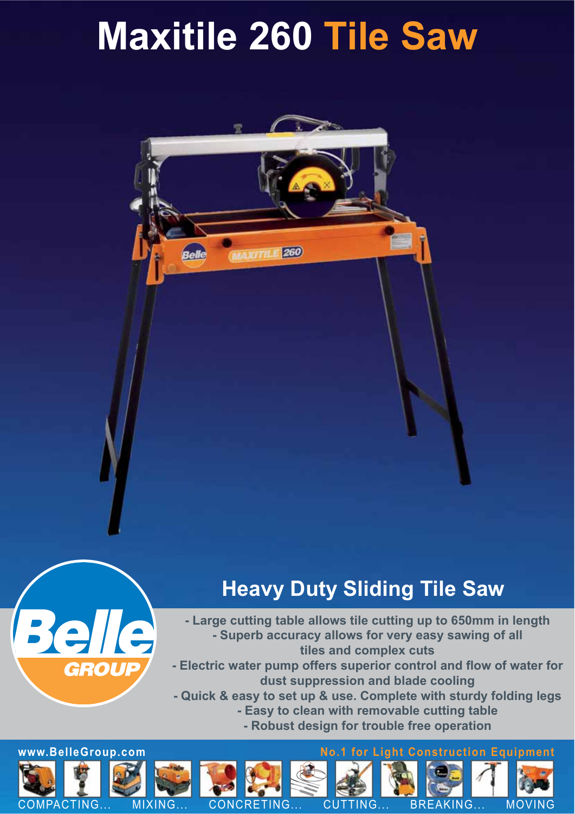## **Maxitile 260 Tile Saw**

260

## **Heavy Duty Sliding Tile Saw**



**- Large cutting table allows tile cutting up to 650mm in length - Superb accuracy allows for very easy sawing of all tiles and complex cuts**

- Electric water pump offers superior control and flow of water for **dust suppression and blade cooling**

**- Quick & easy to set up & use. Complete with sturdy folding legs - Easy to clean with removable cutting table - Robust design for trouble free operation**

**www.BelleGroup.com No.1 for Light Construction Equipment**